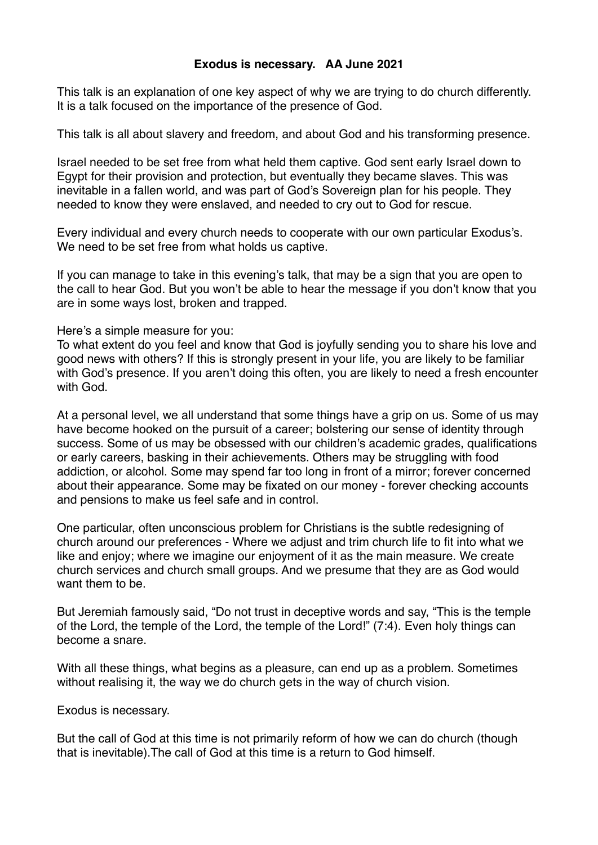## **Exodus is necessary. AA June 2021**

This talk is an explanation of one key aspect of why we are trying to do church differently. It is a talk focused on the importance of the presence of God.

This talk is all about slavery and freedom, and about God and his transforming presence.

Israel needed to be set free from what held them captive. God sent early Israel down to Egypt for their provision and protection, but eventually they became slaves. This was inevitable in a fallen world, and was part of God's Sovereign plan for his people. They needed to know they were enslaved, and needed to cry out to God for rescue.

Every individual and every church needs to cooperate with our own particular Exodus's. We need to be set free from what holds us captive.

If you can manage to take in this evening's talk, that may be a sign that you are open to the call to hear God. But you won't be able to hear the message if you don't know that you are in some ways lost, broken and trapped.

Here's a simple measure for you:

To what extent do you feel and know that God is joyfully sending you to share his love and good news with others? If this is strongly present in your life, you are likely to be familiar with God's presence. If you aren't doing this often, you are likely to need a fresh encounter with God.

At a personal level, we all understand that some things have a grip on us. Some of us may have become hooked on the pursuit of a career; bolstering our sense of identity through success. Some of us may be obsessed with our children's academic grades, qualifications or early careers, basking in their achievements. Others may be struggling with food addiction, or alcohol. Some may spend far too long in front of a mirror; forever concerned about their appearance. Some may be fixated on our money - forever checking accounts and pensions to make us feel safe and in control.

One particular, often unconscious problem for Christians is the subtle redesigning of church around our preferences - Where we adjust and trim church life to fit into what we like and enjoy; where we imagine our enjoyment of it as the main measure. We create church services and church small groups. And we presume that they are as God would want them to be.

But Jeremiah famously said, "Do not trust in deceptive words and say, "This is the temple of the Lord, the temple of the Lord, the temple of the Lord!" (7:4). Even holy things can become a snare.

With all these things, what begins as a pleasure, can end up as a problem. Sometimes without realising it, the way we do church gets in the way of church vision.

Exodus is necessary.

But the call of God at this time is not primarily reform of how we can do church (though that is inevitable).The call of God at this time is a return to God himself.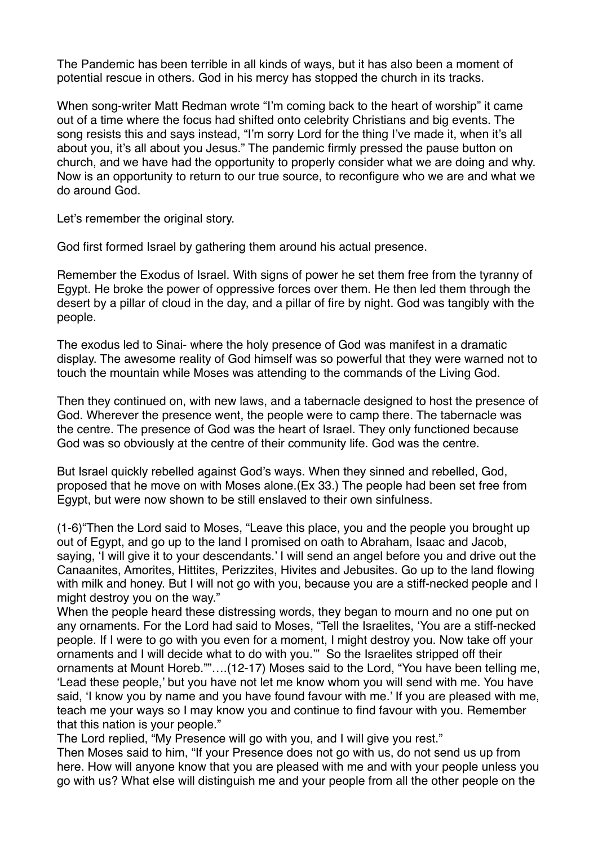The Pandemic has been terrible in all kinds of ways, but it has also been a moment of potential rescue in others. God in his mercy has stopped the church in its tracks.

When song-writer Matt Redman wrote "I'm coming back to the heart of worship" it came out of a time where the focus had shifted onto celebrity Christians and big events. The song resists this and says instead, "I'm sorry Lord for the thing I've made it, when it's all about you, it's all about you Jesus." The pandemic firmly pressed the pause button on church, and we have had the opportunity to properly consider what we are doing and why. Now is an opportunity to return to our true source, to reconfigure who we are and what we do around God.

Let's remember the original story.

God first formed Israel by gathering them around his actual presence.

Remember the Exodus of Israel. With signs of power he set them free from the tyranny of Egypt. He broke the power of oppressive forces over them. He then led them through the desert by a pillar of cloud in the day, and a pillar of fire by night. God was tangibly with the people.

The exodus led to Sinai- where the holy presence of God was manifest in a dramatic display. The awesome reality of God himself was so powerful that they were warned not to touch the mountain while Moses was attending to the commands of the Living God.

Then they continued on, with new laws, and a tabernacle designed to host the presence of God. Wherever the presence went, the people were to camp there. The tabernacle was the centre. The presence of God was the heart of Israel. They only functioned because God was so obviously at the centre of their community life. God was the centre.

But Israel quickly rebelled against God's ways. When they sinned and rebelled, God, proposed that he move on with Moses alone.(Ex 33.) The people had been set free from Egypt, but were now shown to be still enslaved to their own sinfulness.

(1-6)"Then the Lord said to Moses, "Leave this place, you and the people you brought up out of Egypt, and go up to the land I promised on oath to Abraham, Isaac and Jacob, saying, 'I will give it to your descendants.' I will send an angel before you and drive out the Canaanites, Amorites, Hittites, Perizzites, Hivites and Jebusites. Go up to the land flowing with milk and honey. But I will not go with you, because you are a stiff-necked people and I might destroy you on the way."

When the people heard these distressing words, they began to mourn and no one put on any ornaments. For the Lord had said to Moses, "Tell the Israelites, 'You are a stiff-necked people. If I were to go with you even for a moment, I might destroy you. Now take off your ornaments and I will decide what to do with you.'" So the Israelites stripped off their ornaments at Mount Horeb.""….(12-17) Moses said to the Lord, "You have been telling me, 'Lead these people,' but you have not let me know whom you will send with me. You have said, 'I know you by name and you have found favour with me.' If you are pleased with me, teach me your ways so I may know you and continue to find favour with you. Remember that this nation is your people."

The Lord replied, "My Presence will go with you, and I will give you rest."

Then Moses said to him, "If your Presence does not go with us, do not send us up from here. How will anyone know that you are pleased with me and with your people unless you go with us? What else will distinguish me and your people from all the other people on the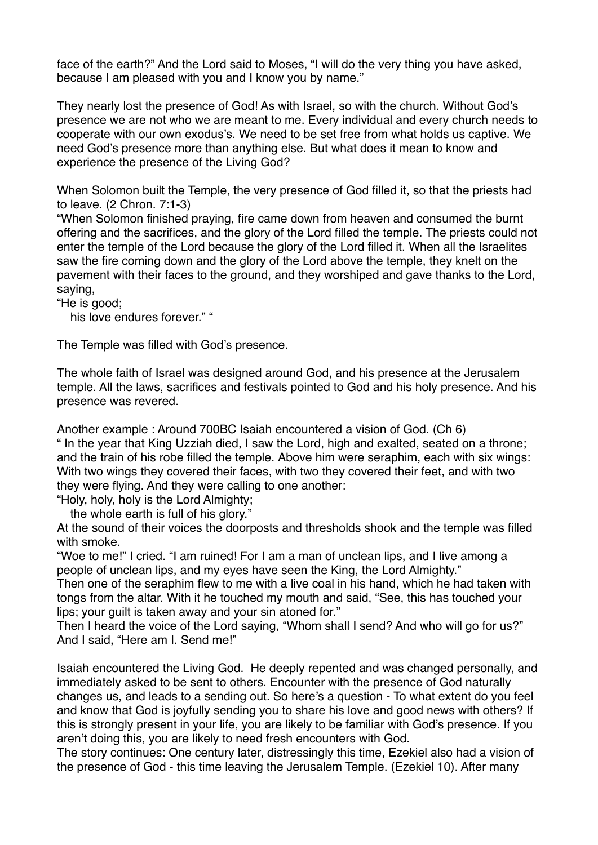face of the earth?" And the Lord said to Moses, "I will do the very thing you have asked, because I am pleased with you and I know you by name."

They nearly lost the presence of God! As with Israel, so with the church. Without God's presence we are not who we are meant to me. Every individual and every church needs to cooperate with our own exodus's. We need to be set free from what holds us captive. We need God's presence more than anything else. But what does it mean to know and experience the presence of the Living God?

When Solomon built the Temple, the very presence of God filled it, so that the priests had to leave. (2 Chron. 7:1-3)

"When Solomon finished praying, fire came down from heaven and consumed the burnt offering and the sacrifices, and the glory of the Lord filled the temple. The priests could not enter the temple of the Lord because the glory of the Lord filled it. When all the Israelites saw the fire coming down and the glory of the Lord above the temple, they knelt on the pavement with their faces to the ground, and they worshiped and gave thanks to the Lord, saying,

"He is good;

his love endures forever." "

The Temple was filled with God's presence.

The whole faith of Israel was designed around God, and his presence at the Jerusalem temple. All the laws, sacrifices and festivals pointed to God and his holy presence. And his presence was revered.

Another example : Around 700BC Isaiah encountered a vision of God. (Ch 6) " In the year that King Uzziah died, I saw the Lord, high and exalted, seated on a throne; and the train of his robe filled the temple. Above him were seraphim, each with six wings: With two wings they covered their faces, with two they covered their feet, and with two they were flying. And they were calling to one another:

"Holy, holy, holy is the Lord Almighty;

the whole earth is full of his glory."

At the sound of their voices the doorposts and thresholds shook and the temple was filled with smoke.

"Woe to me!" I cried. "I am ruined! For I am a man of unclean lips, and I live among a people of unclean lips, and my eyes have seen the King, the Lord Almighty."

Then one of the seraphim flew to me with a live coal in his hand, which he had taken with tongs from the altar. With it he touched my mouth and said, "See, this has touched your lips; your guilt is taken away and your sin atoned for."

Then I heard the voice of the Lord saying, "Whom shall I send? And who will go for us?" And I said, "Here am I. Send me!"

Isaiah encountered the Living God. He deeply repented and was changed personally, and immediately asked to be sent to others. Encounter with the presence of God naturally changes us, and leads to a sending out. So here's a question - To what extent do you feel and know that God is joyfully sending you to share his love and good news with others? If this is strongly present in your life, you are likely to be familiar with God's presence. If you aren't doing this, you are likely to need fresh encounters with God.

The story continues: One century later, distressingly this time, Ezekiel also had a vision of the presence of God - this time leaving the Jerusalem Temple. (Ezekiel 10). After many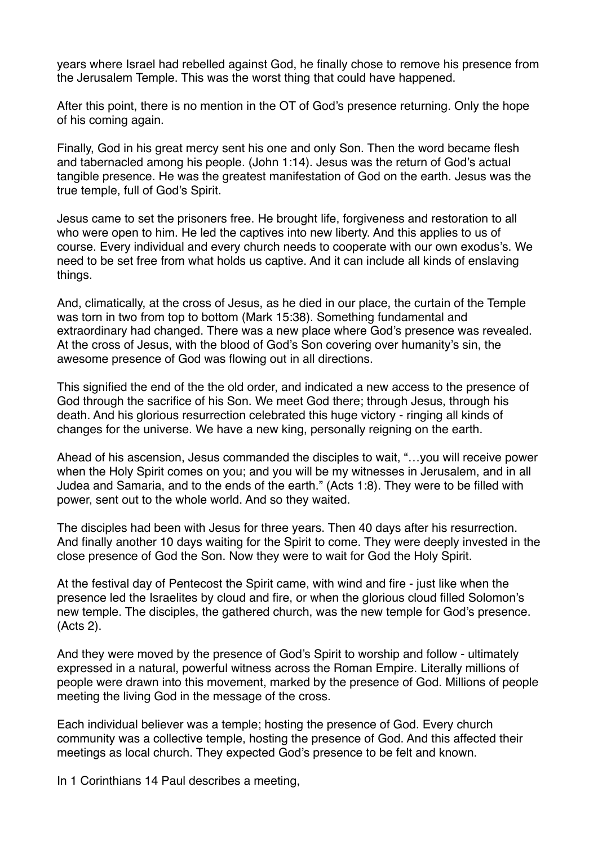years where Israel had rebelled against God, he finally chose to remove his presence from the Jerusalem Temple. This was the worst thing that could have happened.

After this point, there is no mention in the OT of God's presence returning. Only the hope of his coming again.

Finally, God in his great mercy sent his one and only Son. Then the word became flesh and tabernacled among his people. (John 1:14). Jesus was the return of God's actual tangible presence. He was the greatest manifestation of God on the earth. Jesus was the true temple, full of God's Spirit.

Jesus came to set the prisoners free. He brought life, forgiveness and restoration to all who were open to him. He led the captives into new liberty. And this applies to us of course. Every individual and every church needs to cooperate with our own exodus's. We need to be set free from what holds us captive. And it can include all kinds of enslaving things.

And, climatically, at the cross of Jesus, as he died in our place, the curtain of the Temple was torn in two from top to bottom (Mark 15:38). Something fundamental and extraordinary had changed. There was a new place where God's presence was revealed. At the cross of Jesus, with the blood of God's Son covering over humanity's sin, the awesome presence of God was flowing out in all directions.

This signified the end of the the old order, and indicated a new access to the presence of God through the sacrifice of his Son. We meet God there; through Jesus, through his death. And his glorious resurrection celebrated this huge victory - ringing all kinds of changes for the universe. We have a new king, personally reigning on the earth.

Ahead of his ascension, Jesus commanded the disciples to wait, "…you will receive power when the Holy Spirit comes on you; and you will be my witnesses in Jerusalem, and in all Judea and Samaria, and to the ends of the earth." (Acts 1:8). They were to be filled with power, sent out to the whole world. And so they waited.

The disciples had been with Jesus for three years. Then 40 days after his resurrection. And finally another 10 days waiting for the Spirit to come. They were deeply invested in the close presence of God the Son. Now they were to wait for God the Holy Spirit.

At the festival day of Pentecost the Spirit came, with wind and fire - just like when the presence led the Israelites by cloud and fire, or when the glorious cloud filled Solomon's new temple. The disciples, the gathered church, was the new temple for God's presence. (Acts 2).

And they were moved by the presence of God's Spirit to worship and follow - ultimately expressed in a natural, powerful witness across the Roman Empire. Literally millions of people were drawn into this movement, marked by the presence of God. Millions of people meeting the living God in the message of the cross.

Each individual believer was a temple; hosting the presence of God. Every church community was a collective temple, hosting the presence of God. And this affected their meetings as local church. They expected God's presence to be felt and known.

In 1 Corinthians 14 Paul describes a meeting,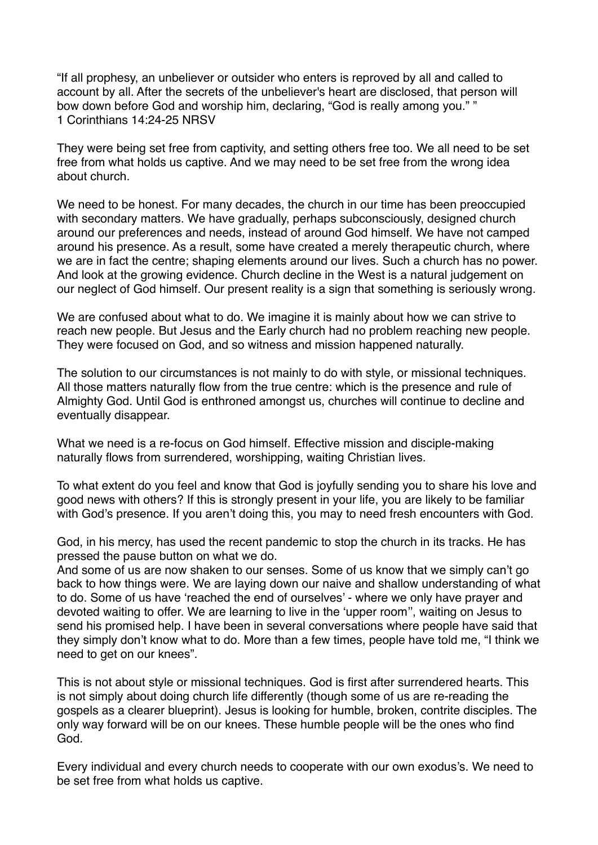"If all prophesy, an unbeliever or outsider who enters is reproved by all and called to account by all. After the secrets of the unbeliever's heart are disclosed, that person will bow down before God and worship him, declaring, "God is really among you." " 1 Corinthians 14:24-25 NRSV

They were being set free from captivity, and setting others free too. We all need to be set free from what holds us captive. And we may need to be set free from the wrong idea about church.

We need to be honest. For many decades, the church in our time has been preoccupied with secondary matters. We have gradually, perhaps subconsciously, designed church around our preferences and needs, instead of around God himself. We have not camped around his presence. As a result, some have created a merely therapeutic church, where we are in fact the centre; shaping elements around our lives. Such a church has no power. And look at the growing evidence. Church decline in the West is a natural judgement on our neglect of God himself. Our present reality is a sign that something is seriously wrong.

We are confused about what to do. We imagine it is mainly about how we can strive to reach new people. But Jesus and the Early church had no problem reaching new people. They were focused on God, and so witness and mission happened naturally.

The solution to our circumstances is not mainly to do with style, or missional techniques. All those matters naturally flow from the true centre: which is the presence and rule of Almighty God. Until God is enthroned amongst us, churches will continue to decline and eventually disappear.

What we need is a re-focus on God himself. Effective mission and disciple-making naturally flows from surrendered, worshipping, waiting Christian lives.

To what extent do you feel and know that God is joyfully sending you to share his love and good news with others? If this is strongly present in your life, you are likely to be familiar with God's presence. If you aren't doing this, you may to need fresh encounters with God.

God, in his mercy, has used the recent pandemic to stop the church in its tracks. He has pressed the pause button on what we do.

And some of us are now shaken to our senses. Some of us know that we simply can't go back to how things were. We are laying down our naive and shallow understanding of what to do. Some of us have 'reached the end of ourselves' - where we only have prayer and devoted waiting to offer. We are learning to live in the 'upper room'', waiting on Jesus to send his promised help. I have been in several conversations where people have said that they simply don't know what to do. More than a few times, people have told me, "I think we need to get on our knees".

This is not about style or missional techniques. God is first after surrendered hearts. This is not simply about doing church life differently (though some of us are re-reading the gospels as a clearer blueprint). Jesus is looking for humble, broken, contrite disciples. The only way forward will be on our knees. These humble people will be the ones who find God.

Every individual and every church needs to cooperate with our own exodus's. We need to be set free from what holds us captive.